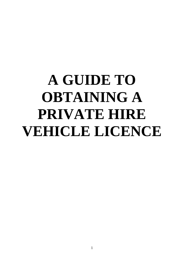# **A GUIDE TO OBTAINING A PRIVATE HIRE VEHICLE LICENCE**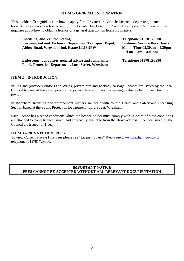## **ITEM 1- GENERAL INFORMATION**

This booklet offers guidance on how to apply for a Private Hire Vehicle Licence. Separate guidance booklets are available on how to apply for a Private Hire Driver or Private Hire Operator's Licences. For inquiries about how to obtain a licence or a general question on licensing matters:

Licensing, and Vehicle Testing Telephone 01978 729600 **Environment and Technical Department Transport Depot, Customer Service Desk Hours Abbey Road, Wrexham Ind. Estate LL13 9PW Mon – Thur 08.30am – 4.30pm** 

 **Fri 08.30am – 4.00pm** 

**Enforcement enquiries, general advice and complaints – Telephone 01978 298990 Public Protection Department, Lord Street, Wrexham**

## **ITEM 2 – INTRODUCTION**

In England (outside London) and Wales, private hire and hackney carriage licences are issued by the local Council to control the safe operation of private hire and hackney carriage vehicles being used for hire or reward.

In Wrexham, licensing and enforcement matters are dealt with by the Health and Safety and Licensing Section based at the Public Protection Department , Lord Street, Wrexham.

Each licence has a set of conditions which the licence holder must comply with. Copies of these conditions are attached to every licence issued, and are readily available from the above address. Licences issued by the Council are issued for 1 year.

#### **ITEM 3 – PRIVATE HIRE FEES**

To view Current Private Hire Fees please see "Licensing Fees" Web Page [www.wrexham.gov.uk](http://www.wrexham.gov.uk/) or telephone (01978) 729600.

## **IMPORTANT NOTICE FEES CANNOT BE ACCEPTED WITHOUT ALL RELEVANT DOCUMENTATION**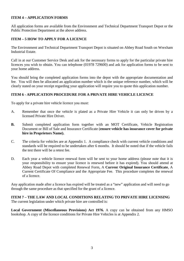# **ITEM 4 – APPLICATION FORMS**

All application forms are available from the Environment and Technical Department Transport Depot or the Public Protection Department at the above address.

# **ITEM – 5 HOW TO APPLY FOR A LICENCE**

The Environment and Technical Department Transport Depot is situated on Abbey Road South on Wrexham Industrial Estate.

Call in at our Customer Service Desk and ask for the necessary forms to apply for the particular private hire licences you wish to obtain. You can telephone (01978 729600) and ask for application forms to be sent to your home address.

You should bring the completed application forms into the depot with the appropriate documentation and fee. You will then be allocated an application number which is the unique reference number, which will be clearly stated on your receipt regarding your application will require you to quote this application number.

# **ITEM 6 - APPLICATION PROCEDURE FOR A PRIVATE HIRE VEHICLE LICENCE**

To apply for a private hire vehicle licence you must:

- A. Remember that once the vehicle is plated as a Private Hire Vehicle it can only be driven by a licensed Private Hire Driver.
- **B.** Submit completed application form together with an MOT Certificate, Vehicle Registration Document or Bill of Sale and Insurance Certificate (**ensure vehicle has insurance cover for private hire in Proprietors Name).**
- C. The criteria for vehicles are at Appendix 1. A compliance check with current vehicle conditions and standards will be required to be undertaken after 6 months. It should be noted that if the vehicle fails the test there will be a retest fee.
- D. Each year a vehicle licence renewal form will be sent to your home address (please note that it is your responsibility to ensure your licence is renewed before it has expired). You should attend at Abbey Road Depot with completed Renewal Form, A **Curren**t **Original Insurance Certificate**, A Current Certificate Of Compliance and the Appropriate Fee. This procedure completes the renewal of a licence.

Any application made after a licence has expired will be treated as a "new" application and will need to go through the same procedure as that specified for the grant of a licence.

**ITEM 7 – THE LAW AND LOCAL CONDITIONS RELATING TO PRIVATE HIRE LICENSING** The current legislation under which private hire are controlled is:

**Local Government (Miscellaneous Provisions) Act 1976.** A copy can be obtained from any HMSO bookshop. A copy of the licence conditions for Private Hire Vehicles is at Appendix 2.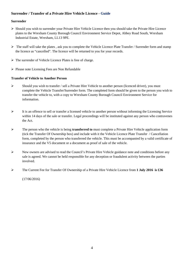# **Surrender / Transfer of a Private Hire Vehicle Licence - Guide**

### **Surrender**

- Should you wish to surrender your Private Hire Vehicle Licence then you should take the Private Hire Licence plates to the Wrexham County Borough Council Environment Service Depot, Abbey Road South, Wrexham Industrial Estate, Wrexham, LL13 9PE.
- $\triangleright$  The staff will take the plates, ask you to complete the Vehicle Licence Plate Transfer / Surrender form and stamp the licence as "cancelled". The licence will be returned to you for your records.
- $\triangleright$  The surrender of Vehicle Licence Plates is free of charge.
- $\triangleright$  Please note Licensing Fees are Non Refundable

## **Transfer of Vehicle to Another Person**

- $\triangleright$  Should you wish to transfer / sell a Private Hire Vehicle to another person (licenced driver), you must complete the Vehicle Transfer/Surrender form. The completed form should be given to the person you wish to transfer the vehicle to, with a copy to Wrexham County Borough Council Environment Service for information.
- $\triangleright$  It is an offence to sell or transfer a licensed vehicle to another person without informing the Licensing Service within 14 days of the sale or transfer. Legal proceedings will be instituted against any person who contravenes the Act.
- The person who the vehicle is being **transferred to** must complete a Private Hire Vehicle application form (tick the Transfer Of Ownership box) and include with it the Vehicle Licence Plate Transfer / Cancellation form, completed by the person who transferred the vehicle. This must be accompanied by a valid certificate of insurance and the V5 document or a document as proof of sale of the vehicle.
- New owners are advised to read the Council's Private Hire Vehicle guidance note and conditions before any sale is agreed. We cannot be held responsible for any deception or fraudulent activity between the parties involved.
- The Current Fee for Transfer Of Ownership of a Private Hire Vehicle Licence from **1 July 2016 is £36**

(17/06/2016)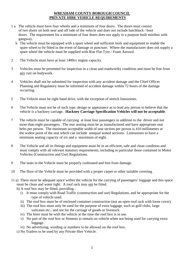# **WREXHAM COUNTY BOROUGH COUNCIL PRIVATE HIRE VEHICLE REQUIREMENTS**

- 1 a The vehicle must have four wheels and a minimum of four doors. The doors must consist of two doors on both near and off side of the vehicle and does not include hatchback / boot doors. The requirement for a minimum of four doors does not apply to a purpose built minibus with gangway.
	- b The vehicle must be equipped with a spare wheel and sufficient tools and equipment to enable the spare wheel to be fitted in the event of damage or puncture. Where the manufacturer does not supply a spare wheel the vehicle must be supplied with Run Flat Tyre / Foam Aerosol.
- 2 The Vehicle must have at least 1400cc engine capacity.
- 3 Vehicles must be presented for inspection in a clean and roadworthy condition and must be free from any rust on bodywork.
- 4Vehicles shall not be submitted for inspection with any accident damage and the Chief Officer Planning and Regulatory must be informed of accident damage within 72 hours of the damage occurring.
- 5 The Vehicle must be right hand drive, with the exception of stretch limousines.
- 6 The Vehicle must not be of such type, design or appearance as to lead any person to believe that the vehicle is a hackney carriage. **Hackney Carriage Specification Vehicles will not be acceptable**.
- 7 The vehicle must be capable of carrying at least four passengers in addition to the driver and not more than eight passengers. The rear seating must be as manufactured and have appropriate seat belts per person. The minimum acceptable width of seat section per person is 410 millimeters at the widest point of the seat which can include unequal seated sections. Limousines to have a minimum seating capacity of six and a maximum of eight.
- 8 The Vehicle and all its fittings and equipment must be in an efficient, safe and clean condition and must comply with all relevant statutory requirements, including in particular those contained in Motor Vehicles (Construction and Use) Regulations.
- 9 The seats in the Vehicle must be properly cushioned and free from damage.
- 10 The floor of the Vehicle must be provided with a proper carpet or other suitable covering.
- 11 a) There must be adequate space within the vehicle for the carrying of passengers' luggage and this space must be clean and water tight. A roof rack may not be fitted.
	- b) A roof box may be fitted, providing :
		- i) It must comply with Road Traffic (construction and use) Regulations, and be appropriate for the type of vehicle used.
		- ii) The roof box must be of enclosed container construction (not an open roof rack with loose cover).
		- iii) The roof box must only be used for the purpose of extra luggage, such as golf clubs, large suitcases etc., and not for the carriage of goods or livestock.
		- iv) The hirer must be with the vehicle at the time the roof box is in use.
		- v) No part of the roof box or fitments to remain on vehicle when not being used for carrying extra luggage.
		- vi) No advertising, wording or numbers to be allowed on the roof box.
	- c) No Trailers to be used by any Private Hire Vehicle.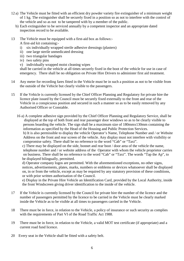- 12 a) The Vehicle must be fitted with an efficient dry powder variety fire extinguisher of a minimum weight of 1 kg. The extinguisher shall be securely fixed in a position so as not to interfere with the control of the vehicle and so as not to be tampered with by a member of the public.
	- b) Each extinguisher to be serviced annually by a competent inspector and an appropriate dated inspection record to be available.
- 13 The Vehicle must be equipped with a first-aid box as follows:- A first-aid kit containing:
	- i) six individually wrapped sterile adhesive dressings (plasters)
	- ii) one large sterile unmedicated dressing
	- iii) two triangular bandages
	- iv) two safety pins
	- v) individually wrapped moist cleaning wipes

shall be carried in the vehicle at all times securely fixed in the boot of the vehicle for use in case of emergency. There shall be no obligation on Private Hire Drivers to administer first aid treatment.

- 14 Any meter for recording fares fitted in the Vehicle must be in such a position as not to be visible from the outside of the Vehicle but clearly visible to the passengers.
- 15 If the Vehicle is currently licensed by the Chief Officer Planning and Regulatory for private hire the licence plate issued by the Council must be securely fixed externally to the front and rear of the Vehicle in a conspicuous position and secured in such a manner so as to be easily removed by any Authorised Officer or Constable.
	- 16 a) A complete adhesive sign provided by the Chief Officer Planning and Regulatory Service, shall be displayed at the top of both front and rear passenger door windows so as to be clearly visible to persons boarding the vehicle. The sign shall be a maximum size of 180mmx130mm containing the information as specified by the Head of the Housing and Public Protection Services.

 b) It is also permissible to display the vehicle Operator's Name, Telephone Number and / or Website Address on the front and rear screen of the vehicle. Any display must not interfere with visibility or compromise safety. There shall be no reference to the word "Cab" or "Taxi".

 c) There may be displayed on the side, bonnet and rear boot / door area of the vehicle the name, telephone number and / or website address of the Operator with whom the vehicle proprietor carries on business. There shall be no reference to the word "Cab" or "Taxi". The words "Tap the Ap", to be displayed bilingually, permitted.

 d) Operator company logos are permitted. With the aforementioned exceptions, no other signs, notices, advertisements, plates, marks, numbers or emblems or devices whatsoever shall be displayed on, in or from the vehicle, except as may be required by any statutory provision of these conditions, or with prior written authorisation of the Council.

 e) Display in the Private Hire Vehicle an Identification Card, provided by the Local Authority, inside the front Windscreen giving driver identification to the inside of the vehicle.

- 17 If the Vehicle is currently licensed by the Council for private hire the number of the licence and the number of passengers permitted by the licence to be carried in the Vehicle must be clearly marked inside the Vehicle as to be visible at all times to passengers carried in the Vehicle.
- 18 There must be in force, in relation to the Vehicle, a policy of insurance or such security as complies with the requirements of Part VI of the Road Traffic Act 1988.
- 19 There must be in force, in relation to the Vehicle, a valid MOT test certificate (if appropriate) and a current road fund licence.
- 20 Every seat in the Vehicle shall be fitted with a safety belt.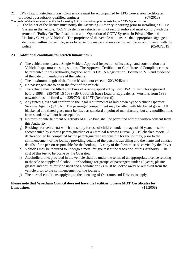- 21 LPG (Liquid Petroleum Gas) Conversions must be accompanied by LPG Conversion Certificates provided by a suitably qualified engineer. (07/2013)
- The holder of the licence must notify the Licensing Authority in writing prior to installing a CCTV System in the 22 The holder of the licence must notify the Licensing Authority in writing prior to installing a CCTV System in the vehicle. CCTV Systems in vehicles will not record audio and must comply with the terms of "Policy On The Installation and Operation of CCTV Systems in Private Hire and Hackney Carriage Vehicles". The proprietor of the vehicle will ensure that appropriate signage is displayed within the vehicle, so as to be visible inside and outside the vehicle in accordance with the policy. (05/02/2019)

# **23 Additional conditions for stretch limousines :-**

- a) The vehicle must pass a Single Vehicle Approval inspection of its design and construction at a Vehicle Inspectorate testing station. The Approval Certificate or Certificate of Compliance must be presented to this Authority, together with its DVLA Registration Document (V5) and evidence of the date of manufacture of the vehicle.
- b) The maximum length of the "stretch" shall not exceed 120"/3048mm.
- c) No passengers are to be in the front of the vehicle.
- d) The vehicle must be fitted with tyres of a rating specified by Ford USA i.e. vehicles registered before 1998 – 235/75R 15 108S (BF Goodrich Extra Load or Equivalent). Versions from 1998 onwards must be fitted with 225/70R 16 107T (Reinforced).
- e) Any tinted glass shall conform to the legal requirements as laid down by the Vehicle Operator Services Agency (VOSA). The passenger compartment may be fitted with blackened glass. All blackened and tinted glass must be fitted as standard at point of manufacture, but any modifications from standard will not be acceptable.
- f) No form of entertainment or activity of a like kind shall be permitted without written consent from this Authority.
- g) Bookings for vehicle(s) which are solely for use of children under the age of 16 years must be accompanied by either a parent/guardian or a Criminal Records Bureau (CRB) checked escort. A declaration, to be completed by the parent/guardian responsible for the journey, prior to the commencement of the journey providing details of the persons travelling and the name and contact details of the person responsible for the booking. A copy of the form must be carried by the driver.
- h) Vehicles may be required to undergo a metal fatigue test at the discretion of this Authority. The cost of this test to be borne by the Operator.
- i) Alcoholic drinks provided in the vehicle shall be under the terms of an appropriate licence relating to the sale or supply of alcohol. For bookings for groups of passengers under 18 years, plastic glasses and bottles must be used and alcoholic drinks must be locked away or removed from the vehicle prior to the commencement of the journey.
- j) The normal conditions applying to the licensing of Operators and Drivers to apply.

# **Please note that Wrexham Council does not have the facilities to issue MOT Certificates for Limousines**. (11/2008)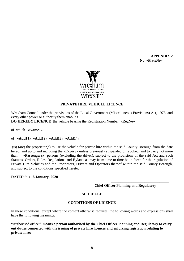**APPENDIX 2 No «PlateNo»**



## **PRIVATE HIRE VEHICLE LICENCE**

Wrexham Council under the provisions of the Local Government (Miscellaneous Provisions) Act, 1976, and every other power or authority them enabling **DO HEREBY LICENCE** the vehicle bearing the Registration Number **«RegNo»**

of which **«Name1»** 

#### of **«Add11» «Add12» «Add13» «Add14»**

(is) (are) the proprietor(s) to use the vehicle for private hire within the said County Borough from the date hereof and up to and including the **«Expiry»** unless previously suspended or revoked, and to carry not more than **«Passengers»** persons (excluding the driver), subject to the provisions of the said Act and such Statutes, Orders, Rules, Regulations and Bylaws as may from time to time be in force for the regulation of Private Hire Vehicles and the Proprietors, Drivers and Operators thereof within the said County Borough, and subject to the conditions specified hereto.

DATED this **8 January, 2020** 

 **Chief Officer Planning and Regulatory** 

**\_\_\_\_\_\_\_\_\_\_\_\_\_\_\_\_\_\_\_\_\_\_\_\_\_\_\_\_\_\_\_** 

#### **SCHEDULE**

## **CONDITIONS OF LICENCE**

In these conditions, except where the context otherwise requires, the following words and expressions shall have the following meanings:

"Authorised officer" **means a person authorised by the Chief Officer Planning and Regulatory to carry out duties connected with the issuing of private hire licences and enforcing legislation relating to private hire;**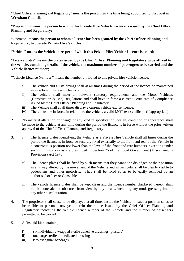"Chief Officer Planning and Regulatory" **means the person for the time being appointed to that post in Wrexham Council;**

"Proprietor" **means the person to whom this Private Hire Vehicle Licence is issued by the Chief Officer Planning and Regulatory;**

"Operator" **means the person to whom a licence has been granted by the Chief Officer Planning and Regulatory, to operate Private Hire Vehicles;**

"Vehicle" **means the Vehicle in respect of which this Private Hire Vehicle Licence is issued;**

"Licence plates" **means the plates issued by the Chief Officer Planning and Regulatory to be affixed to the vehicle, containing details of the vehicle, the maximum number of passengers to be carried and the Vehicle licence number;** 

**"Vehicle Licence Number"** means the number attributed to this private hire vehicle licence.

- 1. i) The vehicle and all its fittings shall at all times during the period of the licence be maintained in an efficient, safe and clean condition.
	- ii) The vehicle shall meet all relevant statutory requirements and the Motor Vehicles (Construction & Use) Regulations and shall have in force a current Certificate of Compliance issued by the Chief Officer Planning and Regulatory.
	- iii) The Vehicle shall at all times display a current vehicle excise licence.
	- iv) There must be in force, in relation to the vehicle, a valid MOT test certificate (if appropriate).
- 2. No material alteration or change of any kind in specification, design, condition or appearance shall be made to the vehicle at any time during the period the licence is in force without the prior written approval of the Chief Officer Planning and Regulatory.
- 3. i) The licence plates identifying the Vehicle as a Private Hire Vehicle shall all times during the period the licence is in force be securely fixed externally to the front and rear of the Vehicle in a conspicuous position not lower than the level of the front and rear bumpers, excepting under such circumstances as are prescribed in Section 75 of the Local Government (Miscellaneous Provisions) Act 1976.
	- ii) The licence plates shall be fixed by such means that they cannot be dislodged or their position in any way altered by the movement of the Vehicle and in particular shall be clearly visible to pedestrians and other motorists. They shall be fixed so as to be easily removed by an authorised officer or Constable.
	- iii) The vehicle licence plates shall be kept clean and the licence number displayed thereon shall not be concealed or obscured from view by any means, including any mud, grease, grime or any other discolouration.
- 4. The proprietor shall cause to be displayed at all times inside the Vehicle, in such a position so as to be visible to persons conveyed therein the notice issued by the Chief Officer Planning and Regulatory indicating the vehicle licence number of the Vehicle and the number of passengers permitted to be carried.
- 5. A first aid kit containing:
	- i) six individually wrapped sterile adhesive dressings (plasters)
	- ii) one large sterile unmedicated dressing
	- iii) two triangular bandages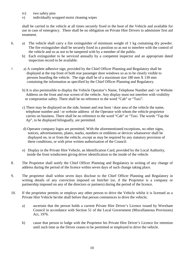- iv) two safety pins
- v) individually wrapped moist cleaning wipes

shall be carried in the vehicle at all times securely fixed in the boot of the Vehicle and available for use in case of emergency. There shall be no obligation on Private Hire Drivers to administer first aid treatment.

- 6. a) The vehicle shall carry a fire extinguisher of minimum weight of 1 kg containing dry powder. The fire extinguisher shall be securely fixed in a position so as not to interfere with the control of the vehicle and so as not to be tampered with by a member of the public.
	- b) Each extinguisher to be serviced annually by a competent inspector and an appropriate dated inspection record to be available.
- 7. a) A complete adhesive sign, provided by the Chief Officer Planning and Regulatory shall be displayed at the top front of both rear passenger door windows so as to be clearly visible to persons boarding the vehicle. The sign shall be of a maximum size 180 mm X 130 mm containing the information as specified by the Chief Officer Planning and Regulatory.
	- b) It is also permissible to display the Vehicle Operator's Name, Telephone Number and / or Website Address on the front and rear screen of the vehicle. Any display must not interfere with visibility or compromise safety. There shall be no reference to the word "Cab" or "Taxi".
	- c) There may be displayed on the side, bonnet and rear boot / door area of the vehicle the name, telephone number and / or website address of the Operator with whom the vehicle proprietor carries on business. There shall be no reference to the word "Cab" or "Taxi. The words "Tap the Ap", to be displayed bilingually, are permitted.
	- d) Operator company logos are permitted. With the aforementioned exceptions, no other signs, notices, advertisements, plates, marks, numbers or emblems or devices whatsoever shall be displayed on, in or from the vehicle, except as may be required by any statutory provision of these conditions, or with prior written authorisation of the Council.
	- e) Display in the Private Hire Vehicle, an Identification Card, provided by the Local Authority, inside the front windscreen giving driver identification to the inside of the vehicle.
- 8. The Proprietor shall notify the Chief Officer Planning and Regulatory in writing of any change of address during the period of the licence within seven days of such change taking place.
- 9. The proprietor shall within seven days disclose to the Chief Officer Planning and Regulatory in writing details of any conviction imposed on him/her (or, if the Proprietor is a company or partnership imposed on any of the directors or partners) during the period of the licence.
- 10. If the proprietor permits or employs any other person to drive the Vehicle whilst it is licensed as a Private Hire Vehicle he/she shall before that person commences to drive the vehicle;
	- a) ascertain that the person holds a current Private Hire Driver's Licence issued by Wrexham Council in accordance with Section 51 of the Local Government (Miscellaneous Provisions) Act, 1976.
	- b) cause that person to lodge with the Proprietor his Private Hire Driver's Licence for retention until such time as the Driver ceases to be permitted or employed to drive the vehicle.